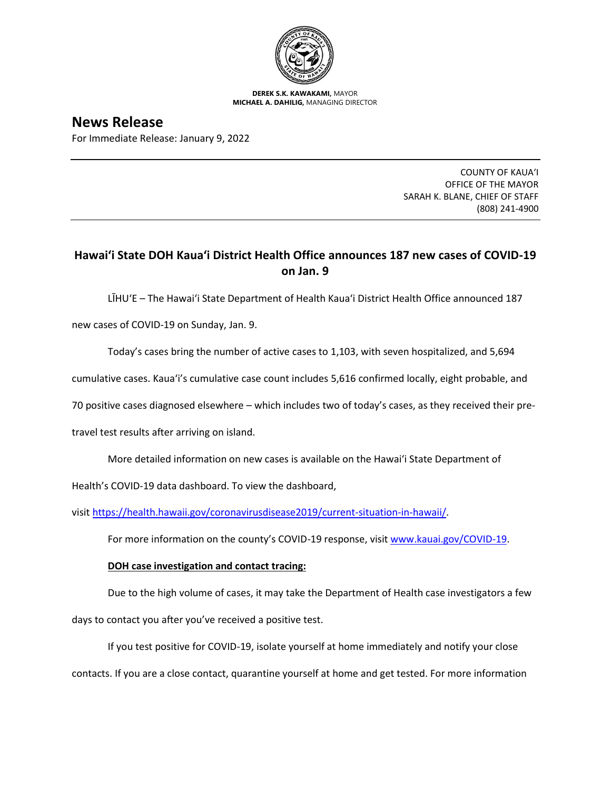

**DEREK S.K. KAWAKAMI,** MAYOR **MICHAEL A. DAHILIG,** MANAGING DIRECTOR

**News Release** For Immediate Release: January 9, 2022

> COUNTY OF KAUA'I OFFICE OF THE MAYOR SARAH K. BLANE, CHIEF OF STAFF (808) 241-4900

## **Hawai'i State DOH Kaua'i District Health Office announces 187 new cases of COVID-19 on Jan. 9**

LĪHU'E – The Hawai'i State Department of Health Kaua'i District Health Office announced 187

new cases of COVID-19 on Sunday, Jan. 9.

Today's cases bring the number of active cases to 1,103, with seven hospitalized, and 5,694

cumulative cases. Kaua'i's cumulative case count includes 5,616 confirmed locally, eight probable, and

70 positive cases diagnosed elsewhere – which includes two of today's cases, as they received their pre-

travel test results after arriving on island.

More detailed information on new cases is available on the Hawai'i State Department of

Health's COVID-19 data dashboard. To view the dashboard,

visit [https://health.hawaii.gov/coronavirusdisease2019/current-situation-in-hawaii/.](https://health.hawaii.gov/coronavirusdisease2019/current-situation-in-hawaii/)

For more information on the county's COVID-19 response, visit [www.kauai.gov/COVID-19.](https://urldefense.com/v3/__http:/www.kauai.gov/COVID-19__;!!LIYSdFfckKA!l4A5nHuw73q2ubt1jVfVpBxrgAoeT-qm9LHA2X0eDo7DmU1d8EztTez1J2SRjWo05uCKvMiUtA$)

## **DOH case investigation and contact tracing:**

Due to the high volume of cases, it may take the Department of Health case investigators a few

days to contact you after you've received a positive test.

If you test positive for COVID-19, isolate yourself at home immediately and notify your close contacts. If you are a close contact, quarantine yourself at home and get tested. For more information